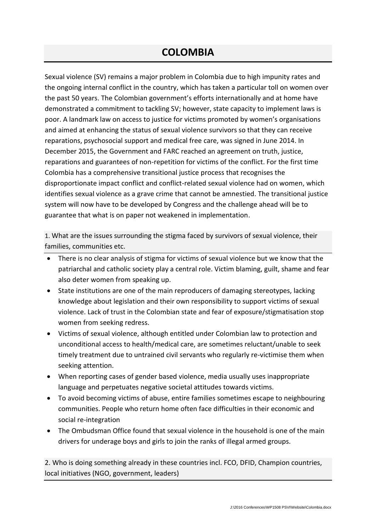## **COLOMBIA**

Sexual violence (SV) remains a major problem in Colombia due to high impunity rates and the ongoing internal conflict in the country, which has taken a particular toll on women over the past 50 years. The Colombian government's efforts internationally and at home have demonstrated a commitment to tackling SV; however, state capacity to implement laws is poor. A landmark law on access to justice for victims promoted by women's organisations and aimed at enhancing the status of sexual violence survivors so that they can receive reparations, psychosocial support and medical free care, was signed in June 2014. In December 2015, the Government and FARC reached an agreement on truth, justice, reparations and guarantees of non-repetition for victims of the conflict. For the first time Colombia has a comprehensive transitional justice process that recognises the disproportionate impact conflict and conflict-related sexual violence had on women, which identifies sexual violence as a grave crime that cannot be amnestied. The transitional justice system will now have to be developed by Congress and the challenge ahead will be to guarantee that what is on paper not weakened in implementation.

1. What are the issues surrounding the stigma faced by survivors of sexual violence, their families, communities etc.

- There is no clear analysis of stigma for victims of sexual violence but we know that the patriarchal and catholic society play a central role. Victim blaming, guilt, shame and fear also deter women from speaking up.
- State institutions are one of the main reproducers of damaging stereotypes, lacking knowledge about legislation and their own responsibility to support victims of sexual violence. Lack of trust in the Colombian state and fear of exposure/stigmatisation stop women from seeking redress.
- Victims of sexual violence, although entitled under Colombian law to protection and unconditional access to health/medical care, are sometimes reluctant/unable to seek timely treatment due to untrained civil servants who regularly re-victimise them when seeking attention.
- When reporting cases of gender based violence, media usually uses inappropriate language and perpetuates negative societal attitudes towards victims.
- To avoid becoming victims of abuse, entire families sometimes escape to neighbouring communities. People who return home often face difficulties in their economic and social re-integration
- The Ombudsman Office found that sexual violence in the household is one of the main drivers for underage boys and girls to join the ranks of illegal armed groups.

2. Who is doing something already in these countries incl. FCO, DFID, Champion countries, local initiatives (NGO, government, leaders)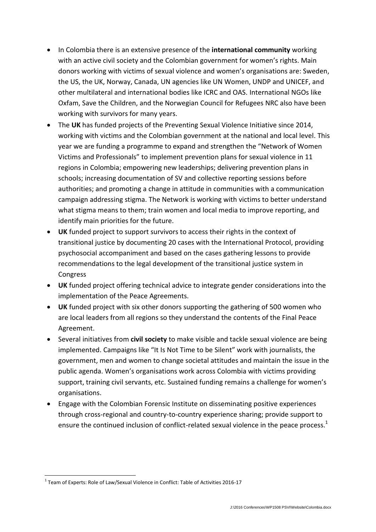- In Colombia there is an extensive presence of the **international community** working with an active civil society and the Colombian government for women's rights. Main donors working with victims of sexual violence and women's organisations are: Sweden, the US, the UK, Norway, Canada, UN agencies like UN Women, UNDP and UNICEF, and other multilateral and international bodies like ICRC and OAS. International NGOs like Oxfam, Save the Children, and the Norwegian Council for Refugees NRC also have been working with survivors for many years.
- The **UK** has funded projects of the Preventing Sexual Violence Initiative since 2014, working with victims and the Colombian government at the national and local level. This year we are funding a programme to expand and strengthen the "Network of Women Victims and Professionals" to implement prevention plans for sexual violence in 11 regions in Colombia; empowering new leaderships; delivering prevention plans in schools; increasing documentation of SV and collective reporting sessions before authorities; and promoting a change in attitude in communities with a communication campaign addressing stigma. The Network is working with victims to better understand what stigma means to them; train women and local media to improve reporting, and identify main priorities for the future.
- **UK** funded project to support survivors to access their rights in the context of transitional justice by documenting 20 cases with the International Protocol, providing psychosocial accompaniment and based on the cases gathering lessons to provide recommendations to the legal development of the transitional justice system in **Congress**
- **UK** funded project offering technical advice to integrate gender considerations into the implementation of the Peace Agreements.
- **UK** funded project with six other donors supporting the gathering of 500 women who are local leaders from all regions so they understand the contents of the Final Peace Agreement.
- Several initiatives from **civil society** to make visible and tackle sexual violence are being implemented. Campaigns like "It Is Not Time to be Silent" work with journalists, the government, men and women to change societal attitudes and maintain the issue in the public agenda. Women's organisations work across Colombia with victims providing support, training civil servants, etc. Sustained funding remains a challenge for women's organisations.
- Engage with the Colombian Forensic Institute on disseminating positive experiences through cross-regional and country-to-country experience sharing; provide support to ensure the continued inclusion of conflict-related sexual violence in the peace process.<sup>1</sup>

 $\overline{\phantom{a}}$ 

 $^1$  Team of Experts: Role of Law/Sexual Violence in Conflict: Table of Activities 2016-17